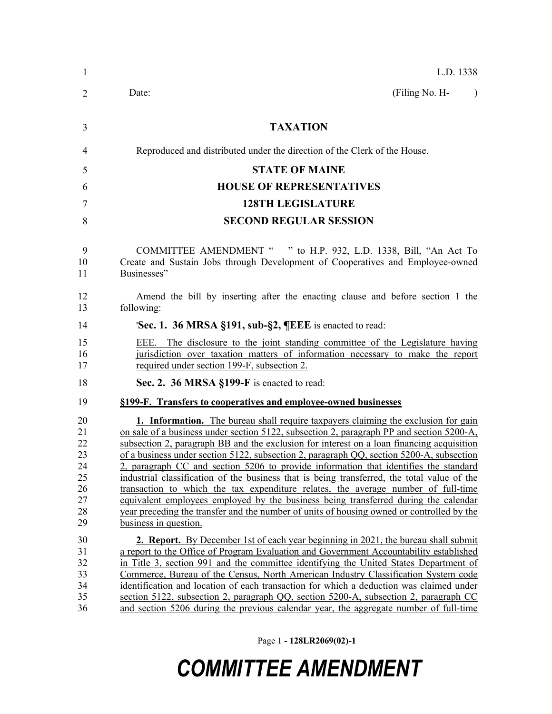| $\mathbf{1}$                                             | L.D. 1338                                                                                                                                                                                                                                                                                                                                                                                                                                                                                                                                                                                                                                                                                                                                                                                                                                                               |
|----------------------------------------------------------|-------------------------------------------------------------------------------------------------------------------------------------------------------------------------------------------------------------------------------------------------------------------------------------------------------------------------------------------------------------------------------------------------------------------------------------------------------------------------------------------------------------------------------------------------------------------------------------------------------------------------------------------------------------------------------------------------------------------------------------------------------------------------------------------------------------------------------------------------------------------------|
| 2                                                        | (Filing No. H-<br>Date:<br>$\lambda$                                                                                                                                                                                                                                                                                                                                                                                                                                                                                                                                                                                                                                                                                                                                                                                                                                    |
| 3                                                        | <b>TAXATION</b>                                                                                                                                                                                                                                                                                                                                                                                                                                                                                                                                                                                                                                                                                                                                                                                                                                                         |
| $\overline{4}$                                           | Reproduced and distributed under the direction of the Clerk of the House.                                                                                                                                                                                                                                                                                                                                                                                                                                                                                                                                                                                                                                                                                                                                                                                               |
| 5                                                        | <b>STATE OF MAINE</b>                                                                                                                                                                                                                                                                                                                                                                                                                                                                                                                                                                                                                                                                                                                                                                                                                                                   |
| 6                                                        | <b>HOUSE OF REPRESENTATIVES</b>                                                                                                                                                                                                                                                                                                                                                                                                                                                                                                                                                                                                                                                                                                                                                                                                                                         |
| 7                                                        | <b>128TH LEGISLATURE</b>                                                                                                                                                                                                                                                                                                                                                                                                                                                                                                                                                                                                                                                                                                                                                                                                                                                |
| 8                                                        | <b>SECOND REGULAR SESSION</b>                                                                                                                                                                                                                                                                                                                                                                                                                                                                                                                                                                                                                                                                                                                                                                                                                                           |
| 9<br>10<br>11                                            | COMMITTEE AMENDMENT " " to H.P. 932, L.D. 1338, Bill, "An Act To<br>Create and Sustain Jobs through Development of Cooperatives and Employee-owned<br>Businesses"                                                                                                                                                                                                                                                                                                                                                                                                                                                                                                                                                                                                                                                                                                       |
| 12<br>13                                                 | Amend the bill by inserting after the enacting clause and before section 1 the<br>following:                                                                                                                                                                                                                                                                                                                                                                                                                                                                                                                                                                                                                                                                                                                                                                            |
| 14                                                       | 'Sec. 1. 36 MRSA §191, sub-§2, ¶EEE is enacted to read:                                                                                                                                                                                                                                                                                                                                                                                                                                                                                                                                                                                                                                                                                                                                                                                                                 |
| 15<br>16<br>17                                           | EEE. The disclosure to the joint standing committee of the Legislature having<br>jurisdiction over taxation matters of information necessary to make the report<br>required under section 199-F, subsection 2.                                                                                                                                                                                                                                                                                                                                                                                                                                                                                                                                                                                                                                                          |
| 18                                                       | Sec. 2. 36 MRSA §199-F is enacted to read:                                                                                                                                                                                                                                                                                                                                                                                                                                                                                                                                                                                                                                                                                                                                                                                                                              |
| 19                                                       | §199-F. Transfers to cooperatives and employee-owned businesses                                                                                                                                                                                                                                                                                                                                                                                                                                                                                                                                                                                                                                                                                                                                                                                                         |
| 20<br>21<br>22<br>23<br>24<br>25<br>26<br>27<br>28<br>29 | <b>1. Information.</b> The bureau shall require taxpayers claiming the exclusion for gain<br>on sale of a business under section 5122, subsection 2, paragraph PP and section 5200-A,<br>subsection 2, paragraph BB and the exclusion for interest on a loan financing acquisition<br>of a business under section 5122, subsection 2, paragraph QQ, section 5200-A, subsection<br>2, paragraph CC and section 5206 to provide information that identifies the standard<br>industrial classification of the business that is being transferred, the total value of the<br>transaction to which the tax expenditure relates, the average number of full-time<br>equivalent employees employed by the business being transferred during the calendar<br>year preceding the transfer and the number of units of housing owned or controlled by the<br>business in question. |
| 30<br>31<br>32<br>33<br>34<br>35<br>36                   | <b>2. Report.</b> By December 1st of each year beginning in 2021, the bureau shall submit<br>a report to the Office of Program Evaluation and Government Accountability established<br>in Title 3, section 991 and the committee identifying the United States Department of<br>Commerce, Bureau of the Census, North American Industry Classification System code<br>identification and location of each transaction for which a deduction was claimed under<br>section 5122, subsection 2, paragraph QQ, section 5200-A, subsection 2, paragraph CC<br>and section 5206 during the previous calendar year, the aggregate number of full-time                                                                                                                                                                                                                          |

Page 1 **- 128LR2069(02)-1**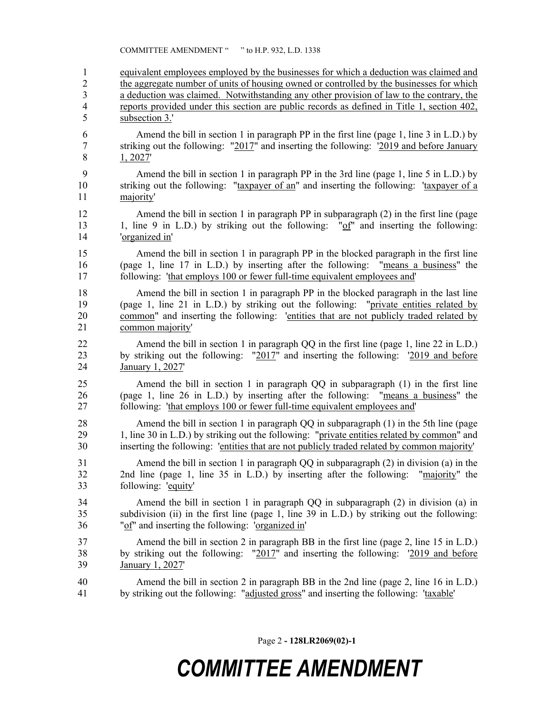COMMITTEE AMENDMENT " " to H.P. 932, L.D. 1338

 equivalent employees employed by the businesses for which a deduction was claimed and the aggregate number of units of housing owned or controlled by the businesses for which a deduction was claimed. Notwithstanding any other provision of law to the contrary, the reports provided under this section are public records as defined in Title 1, section 402, subsection 3.' Amend the bill in section 1 in paragraph PP in the first line (page 1, line 3 in L.D.) by striking out the following: "2017" and inserting the following: '2019 and before January 1, 2027' Amend the bill in section 1 in paragraph PP in the 3rd line (page 1, line 5 in L.D.) by striking out the following: "taxpayer of an" and inserting the following: 'taxpayer of a majority' Amend the bill in section 1 in paragraph PP in subparagraph (2) in the first line (page 1, line 9 in L.D.) by striking out the following: "of" and inserting the following: 'organized in' Amend the bill in section 1 in paragraph PP in the blocked paragraph in the first line (page 1, line 17 in L.D.) by inserting after the following: "means a business" the following: 'that employs 100 or fewer full-time equivalent employees and' Amend the bill in section 1 in paragraph PP in the blocked paragraph in the last line (page 1, line 21 in L.D.) by striking out the following: "private entities related by common" and inserting the following: 'entities that are not publicly traded related by common majority' Amend the bill in section 1 in paragraph QQ in the first line (page 1, line 22 in L.D.) by striking out the following: "2017" and inserting the following: '2019 and before January 1, 2027' Amend the bill in section 1 in paragraph QQ in subparagraph (1) in the first line (page 1, line 26 in L.D.) by inserting after the following: "means a business" the following: 'that employs 100 or fewer full-time equivalent employees and' Amend the bill in section 1 in paragraph QQ in subparagraph (1) in the 5th line (page 1, line 30 in L.D.) by striking out the following: "private entities related by common" and inserting the following: 'entities that are not publicly traded related by common majority' Amend the bill in section 1 in paragraph QQ in subparagraph (2) in division (a) in the 2nd line (page 1, line 35 in L.D.) by inserting after the following: "majority" the following: 'equity' Amend the bill in section 1 in paragraph QQ in subparagraph (2) in division (a) in subdivision (ii) in the first line (page 1, line 39 in L.D.) by striking out the following: "of" and inserting the following: 'organized in' Amend the bill in section 2 in paragraph BB in the first line (page 2, line 15 in L.D.) by striking out the following: "2017" and inserting the following: '2019 and before January 1, 2027' Amend the bill in section 2 in paragraph BB in the 2nd line (page 2, line 16 in L.D.) 41 by striking out the following: "adjusted gross" and inserting the following: 'taxable'

Page 2 **- 128LR2069(02)-1**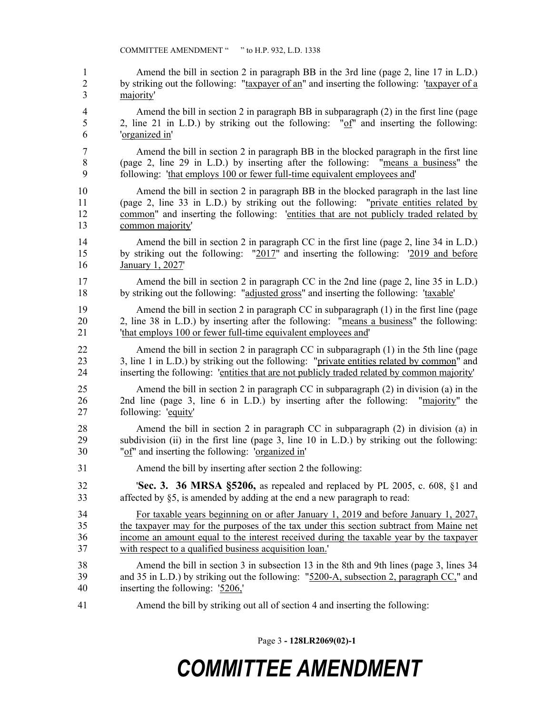Amend the bill in section 2 in paragraph BB in the 3rd line (page 2, line 17 in L.D.) by striking out the following: "taxpayer of an" and inserting the following: 'taxpayer of a majority' Amend the bill in section 2 in paragraph BB in subparagraph (2) in the first line (page 2, line 21 in L.D.) by striking out the following: "of" and inserting the following: 'organized in' Amend the bill in section 2 in paragraph BB in the blocked paragraph in the first line (page 2, line 29 in L.D.) by inserting after the following: "means a business" the following: 'that employs 100 or fewer full-time equivalent employees and' Amend the bill in section 2 in paragraph BB in the blocked paragraph in the last line (page 2, line 33 in L.D.) by striking out the following: "private entities related by common" and inserting the following: 'entities that are not publicly traded related by common majority' 14 Amend the bill in section 2 in paragraph CC in the first line (page 2, line 34 in L.D.) by striking out the following: "2017" and inserting the following: '2019 and before January 1, 2027' 17 Amend the bill in section 2 in paragraph CC in the 2nd line (page 2, line 35 in L.D.) by striking out the following: "adjusted gross" and inserting the following: 'taxable' Amend the bill in section 2 in paragraph CC in subparagraph (1) in the first line (page 2, line 38 in L.D.) by inserting after the following: "means a business" the following: 'that employs 100 or fewer full-time equivalent employees and' Amend the bill in section 2 in paragraph CC in subparagraph (1) in the 5th line (page 23 3, line 1 in L.D.) by striking out the following: "private entities related by common" and inserting the following: 'entities that are not publicly traded related by common majority' Amend the bill in section 2 in paragraph CC in subparagraph (2) in division (a) in the 2nd line (page 3, line 6 in L.D.) by inserting after the following: "majority" the following: 'equity' Amend the bill in section 2 in paragraph CC in subparagraph (2) in division (a) in subdivision (ii) in the first line (page 3, line 10 in L.D.) by striking out the following: "of" and inserting the following: 'organized in' Amend the bill by inserting after section 2 the following: '**Sec. 3. 36 MRSA §5206,** as repealed and replaced by PL 2005, c. 608, §1 and affected by §5, is amended by adding at the end a new paragraph to read: For taxable years beginning on or after January 1, 2019 and before January 1, 2027, the taxpayer may for the purposes of the tax under this section subtract from Maine net income an amount equal to the interest received during the taxable year by the taxpayer with respect to a qualified business acquisition loan.' Amend the bill in section 3 in subsection 13 in the 8th and 9th lines (page 3, lines 34 and 35 in L.D.) by striking out the following: "5200-A, subsection 2, paragraph CC," and inserting the following: '5206,' Amend the bill by striking out all of section 4 and inserting the following:

Page 3 **- 128LR2069(02)-1**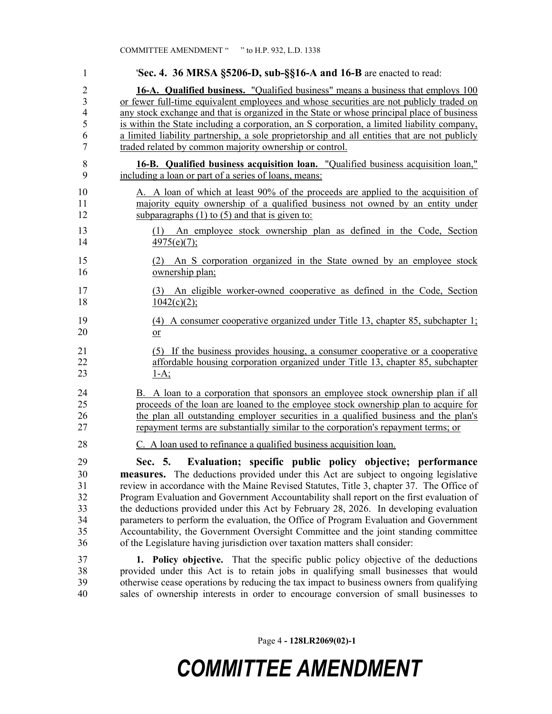| 1                                            | 'Sec. 4. 36 MRSA §5206-D, sub-§§16-A and 16-B are enacted to read:                                                                                                                                                                                                                                                                                                                                                                                                                                                                                                                                                                                                                                                  |
|----------------------------------------------|---------------------------------------------------------------------------------------------------------------------------------------------------------------------------------------------------------------------------------------------------------------------------------------------------------------------------------------------------------------------------------------------------------------------------------------------------------------------------------------------------------------------------------------------------------------------------------------------------------------------------------------------------------------------------------------------------------------------|
| $\overline{2}$                               | 16-A. Qualified business. "Qualified business" means a business that employs 100                                                                                                                                                                                                                                                                                                                                                                                                                                                                                                                                                                                                                                    |
| $\overline{3}$                               | or fewer full-time equivalent employees and whose securities are not publicly traded on                                                                                                                                                                                                                                                                                                                                                                                                                                                                                                                                                                                                                             |
| $\overline{\mathcal{L}}$                     | any stock exchange and that is organized in the State or whose principal place of business                                                                                                                                                                                                                                                                                                                                                                                                                                                                                                                                                                                                                          |
| 5                                            | is within the State including a corporation, an S corporation, a limited liability company,                                                                                                                                                                                                                                                                                                                                                                                                                                                                                                                                                                                                                         |
| 6                                            | a limited liability partnership, a sole proprietorship and all entities that are not publicly                                                                                                                                                                                                                                                                                                                                                                                                                                                                                                                                                                                                                       |
| 7                                            | traded related by common majority ownership or control.                                                                                                                                                                                                                                                                                                                                                                                                                                                                                                                                                                                                                                                             |
| $\,$ $\,$                                    | <b>16-B.</b> Qualified business acquisition loan. "Qualified business acquisition loan,"                                                                                                                                                                                                                                                                                                                                                                                                                                                                                                                                                                                                                            |
| 9                                            | including a loan or part of a series of loans, means:                                                                                                                                                                                                                                                                                                                                                                                                                                                                                                                                                                                                                                                               |
| 10                                           | A. A loan of which at least 90% of the proceeds are applied to the acquisition of                                                                                                                                                                                                                                                                                                                                                                                                                                                                                                                                                                                                                                   |
| 11                                           | majority equity ownership of a qualified business not owned by an entity under                                                                                                                                                                                                                                                                                                                                                                                                                                                                                                                                                                                                                                      |
| 12                                           | subparagraphs $(1)$ to $(5)$ and that is given to:                                                                                                                                                                                                                                                                                                                                                                                                                                                                                                                                                                                                                                                                  |
| 13                                           | (1) An employee stock ownership plan as defined in the Code, Section                                                                                                                                                                                                                                                                                                                                                                                                                                                                                                                                                                                                                                                |
| 14                                           | $4975(e)(7)$ ;                                                                                                                                                                                                                                                                                                                                                                                                                                                                                                                                                                                                                                                                                                      |
| 15                                           | An S corporation organized in the State owned by an employee stock                                                                                                                                                                                                                                                                                                                                                                                                                                                                                                                                                                                                                                                  |
| 16                                           | ownership plan;                                                                                                                                                                                                                                                                                                                                                                                                                                                                                                                                                                                                                                                                                                     |
| 17                                           | (3) An eligible worker-owned cooperative as defined in the Code, Section                                                                                                                                                                                                                                                                                                                                                                                                                                                                                                                                                                                                                                            |
| 18                                           | $1042(c)(2)$ ;                                                                                                                                                                                                                                                                                                                                                                                                                                                                                                                                                                                                                                                                                                      |
| 19                                           | (4) A consumer cooperative organized under Title 13, chapter 85, subchapter 1;                                                                                                                                                                                                                                                                                                                                                                                                                                                                                                                                                                                                                                      |
| 20                                           | $\overline{\text{or}}$                                                                                                                                                                                                                                                                                                                                                                                                                                                                                                                                                                                                                                                                                              |
| 21                                           | (5) If the business provides housing, a consumer cooperative or a cooperative                                                                                                                                                                                                                                                                                                                                                                                                                                                                                                                                                                                                                                       |
| 22                                           | affordable housing corporation organized under Title 13, chapter 85, subchapter                                                                                                                                                                                                                                                                                                                                                                                                                                                                                                                                                                                                                                     |
| 23                                           | $1-A$ ;                                                                                                                                                                                                                                                                                                                                                                                                                                                                                                                                                                                                                                                                                                             |
| 24                                           | B. A loan to a corporation that sponsors an employee stock ownership plan if all                                                                                                                                                                                                                                                                                                                                                                                                                                                                                                                                                                                                                                    |
| 25                                           | proceeds of the loan are loaned to the employee stock ownership plan to acquire for                                                                                                                                                                                                                                                                                                                                                                                                                                                                                                                                                                                                                                 |
| 26                                           | the plan all outstanding employer securities in a qualified business and the plan's                                                                                                                                                                                                                                                                                                                                                                                                                                                                                                                                                                                                                                 |
| 27                                           | repayment terms are substantially similar to the corporation's repayment terms; or                                                                                                                                                                                                                                                                                                                                                                                                                                                                                                                                                                                                                                  |
| 28                                           | C. A loan used to refinance a qualified business acquisition loan.                                                                                                                                                                                                                                                                                                                                                                                                                                                                                                                                                                                                                                                  |
| 29<br>30<br>31<br>32<br>33<br>34<br>35<br>36 | Evaluation; specific public policy objective; performance<br>Sec. 5.<br><b>measures.</b> The deductions provided under this Act are subject to ongoing legislative<br>review in accordance with the Maine Revised Statutes, Title 3, chapter 37. The Office of<br>Program Evaluation and Government Accountability shall report on the first evaluation of<br>the deductions provided under this Act by February 28, 2026. In developing evaluation<br>parameters to perform the evaluation, the Office of Program Evaluation and Government<br>Accountability, the Government Oversight Committee and the joint standing committee<br>of the Legislature having jurisdiction over taxation matters shall consider: |
| 37                                           | 1. Policy objective. That the specific public policy objective of the deductions                                                                                                                                                                                                                                                                                                                                                                                                                                                                                                                                                                                                                                    |
| 38                                           | provided under this Act is to retain jobs in qualifying small businesses that would                                                                                                                                                                                                                                                                                                                                                                                                                                                                                                                                                                                                                                 |
| 39                                           | otherwise cease operations by reducing the tax impact to business owners from qualifying                                                                                                                                                                                                                                                                                                                                                                                                                                                                                                                                                                                                                            |
| 40                                           | sales of ownership interests in order to encourage conversion of small businesses to                                                                                                                                                                                                                                                                                                                                                                                                                                                                                                                                                                                                                                |

Page 4 **- 128LR2069(02)-1**